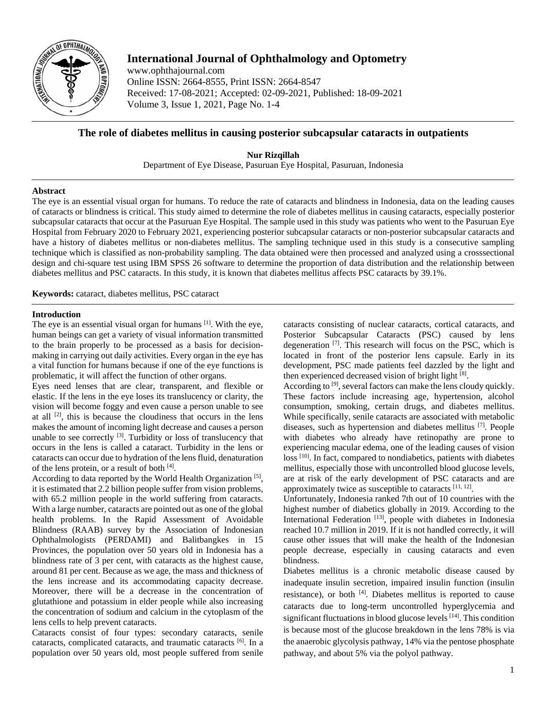

# **International Journal of Ophthalmology and Optometry**

www.ophthajournal.com Online ISSN: 2664-8555, Print ISSN: 2664-8547 Received: 17-08-2021; Accepted: 02-09-2021, Published: 18-09-2021 Volume 3, Issue 1, 2021, Page No. 1-4

## **The role of diabetes mellitus in causing posterior subcapsular cataracts in outpatients**

**Nur Rizqillah** Department of Eye Disease, Pasuruan Eye Hospital, Pasuruan, Indonesia

## **Abstract**

The eye is an essential visual organ for humans. To reduce the rate of cataracts and blindness in Indonesia, data on the leading causes of cataracts or blindness is critical. This study aimed to determine the role of diabetes mellitus in causing cataracts, especially posterior subcapsular cataracts that occur at the Pasuruan Eye Hospital. The sample used in this study was patients who went to the Pasuruan Eye Hospital from February 2020 to February 2021, experiencing posterior subcapsular cataracts or non-posterior subcapsular cataracts and have a history of diabetes mellitus or non-diabetes mellitus. The sampling technique used in this study is a consecutive sampling technique which is classified as non-probability sampling. The data obtained were then processed and analyzed using a crosssectional design and chi-square test using IBM SPSS 26 software to determine the proportion of data distribution and the relationship between diabetes mellitus and PSC cataracts. In this study, it is known that diabetes mellitus affects PSC cataracts by 39.1%.

**Keywords:** cataract, diabetes mellitus, PSC cataract

## **Introduction**

The eye is an essential visual organ for humans [1]. With the eye, human beings can get a variety of visual information transmitted to the brain properly to be processed as a basis for decisionmaking in carrying out daily activities. Every organ in the eye has a vital function for humans because if one of the eye functions is problematic, it will affect the function of other organs.

Eyes need lenses that are clear, transparent, and flexible or elastic. If the lens in the eye loses its translucency or clarity, the vision will become foggy and even cause a person unable to see at all  $[2]$ , this is because the cloudiness that occurs in the lens makes the amount of incoming light decrease and causes a person unable to see correctly <sup>[3]</sup>. Turbidity or loss of translucency that occurs in the lens is called a cataract. Turbidity in the lens or cataracts can occur due to hydration of the lens fluid, denaturation of the lens protein, or a result of both [4].

According to data reported by the World Health Organization<sup>[5]</sup>, it is estimated that 2.2 billion people suffer from vision problems, with 65.2 million people in the world suffering from cataracts. With a large number, cataracts are pointed out as one of the global health problems. In the Rapid Assessment of Avoidable Blindness (RAAB) survey by the Association of Indonesian Ophthalmologists (PERDAMI) and Balitbangkes in 15 Provinces, the population over 50 years old in Indonesia has a blindness rate of 3 per cent, with cataracts as the highest cause, around 81 per cent. Because as we age, the mass and thickness of the lens increase and its accommodating capacity decrease. Moreover, there will be a decrease in the concentration of glutathione and potassium in elder people while also increasing the concentration of sodium and calcium in the cytoplasm of the lens cells to help prevent cataracts.

Cataracts consist of four types: secondary cataracts, senile cataracts, complicated cataracts, and traumatic cataracts <sup>[6]</sup>. In a population over 50 years old, most people suffered from senile

cataracts consisting of nuclear cataracts, cortical cataracts, and Posterior Subcapsular Cataracts (PSC) caused by lens degeneration<sup>[7]</sup>. This research will focus on the PSC, which is located in front of the posterior lens capsule. Early in its development, PSC made patients feel dazzled by the light and then experienced decreased vision of bright light [8].

According to <sup>[9]</sup>, several factors can make the lens cloudy quickly. These factors include increasing age, hypertension, alcohol consumption, smoking, certain drugs, and diabetes mellitus. While specifically, senile cataracts are associated with metabolic diseases, such as hypertension and diabetes mellitus [7]. People with diabetes who already have retinopathy are prone to experiencing macular edema, one of the leading causes of vision loss<sup>[10]</sup>. In fact, compared to nondiabetics, patients with diabetes mellitus, especially those with uncontrolled blood glucose levels, are at risk of the early development of PSC cataracts and are approximately twice as susceptible to cataracts  $[11, 12]$ .

Unfortunately, Indonesia ranked 7th out of 10 countries with the highest number of diabetics globally in 2019. According to the International Federation<sup>[13]</sup>, people with diabetes in Indonesia reached 10.7 million in 2019. If it is not handled correctly, it will cause other issues that will make the health of the Indonesian people decrease, especially in causing cataracts and even blindness.

Diabetes mellitus is a chronic metabolic disease caused by inadequate insulin secretion, impaired insulin function (insulin resistance), or both [4]. Diabetes mellitus is reported to cause cataracts due to long-term uncontrolled hyperglycemia and significant fluctuations in blood glucose levels [14]. This condition is because most of the glucose breakdown in the lens 78% is via the anaerobic glycolysis pathway, 14% via the pentose phosphate pathway, and about 5% via the polyol pathway.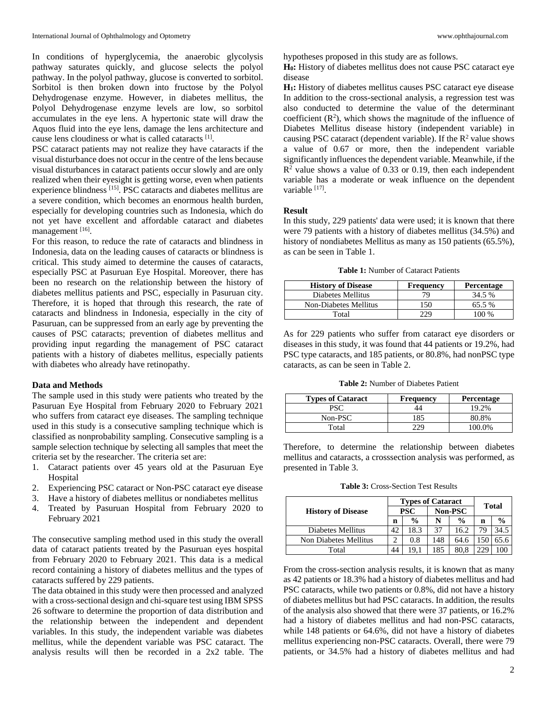In conditions of hyperglycemia, the anaerobic glycolysis pathway saturates quickly, and glucose selects the polyol pathway. In the polyol pathway, glucose is converted to sorbitol. Sorbitol is then broken down into fructose by the Polyol Dehydrogenase enzyme. However, in diabetes mellitus, the Polyol Dehydrogenase enzyme levels are low, so sorbitol accumulates in the eye lens. A hypertonic state will draw the Aquos fluid into the eye lens, damage the lens architecture and cause lens cloudiness or what is called cataracts <sup>[1]</sup>.

PSC cataract patients may not realize they have cataracts if the visual disturbance does not occur in the centre of the lens because visual disturbances in cataract patients occur slowly and are only realized when their eyesight is getting worse, even when patients experience blindness [15]. PSC cataracts and diabetes mellitus are a severe condition, which becomes an enormous health burden, especially for developing countries such as Indonesia, which do not yet have excellent and affordable cataract and diabetes management [16].

For this reason, to reduce the rate of cataracts and blindness in Indonesia, data on the leading causes of cataracts or blindness is critical. This study aimed to determine the causes of cataracts, especially PSC at Pasuruan Eye Hospital. Moreover, there has been no research on the relationship between the history of diabetes mellitus patients and PSC, especially in Pasuruan city. Therefore, it is hoped that through this research, the rate of cataracts and blindness in Indonesia, especially in the city of Pasuruan, can be suppressed from an early age by preventing the causes of PSC cataracts; prevention of diabetes mellitus and providing input regarding the management of PSC cataract patients with a history of diabetes mellitus, especially patients with diabetes who already have retinopathy.

#### **Data and Methods**

The sample used in this study were patients who treated by the Pasuruan Eye Hospital from February 2020 to February 2021 who suffers from cataract eye diseases. The sampling technique used in this study is a consecutive sampling technique which is classified as nonprobability sampling. Consecutive sampling is a sample selection technique by selecting all samples that meet the criteria set by the researcher. The criteria set are:

- 1. Cataract patients over 45 years old at the Pasuruan Eye **Hospital**
- 2. Experiencing PSC cataract or Non-PSC cataract eye disease
- 3. Have a history of diabetes mellitus or nondiabetes mellitus
- 4. Treated by Pasuruan Hospital from February 2020 to February 2021

The consecutive sampling method used in this study the overall data of cataract patients treated by the Pasuruan eyes hospital from February 2020 to February 2021. This data is a medical record containing a history of diabetes mellitus and the types of cataracts suffered by 229 patients.

The data obtained in this study were then processed and analyzed with a cross-sectional design and chi-square test using IBM SPSS 26 software to determine the proportion of data distribution and the relationship between the independent and dependent variables. In this study, the independent variable was diabetes mellitus, while the dependent variable was PSC cataract. The analysis results will then be recorded in a 2x2 table. The hypotheses proposed in this study are as follows.

**H0:** History of diabetes mellitus does not cause PSC cataract eye disease

**H1:** History of diabetes mellitus causes PSC cataract eye disease In addition to the cross-sectional analysis, a regression test was also conducted to determine the value of the determinant coefficient  $(R^2)$ , which shows the magnitude of the influence of Diabetes Mellitus disease history (independent variable) in causing PSC cataract (dependent variable). If the  $R^2$  value shows a value of 0.67 or more, then the independent variable significantly influences the dependent variable. Meanwhile, if the  $R<sup>2</sup>$  value shows a value of 0.33 or 0.19, then each independent variable has a moderate or weak influence on the dependent variable [17].

#### **Result**

In this study, 229 patients' data were used; it is known that there were 79 patients with a history of diabetes mellitus (34.5%) and history of nondiabetes Mellitus as many as 150 patients (65.5%), as can be seen in Table 1.

**Table 1:** Number of Cataract Patients

| <b>History of Disease</b> | Frequency | <b>Percentage</b> |
|---------------------------|-----------|-------------------|
| Diabetes Mellitus         | 79        | 34.5 %            |
| Non-Diabetes Mellitus     | 150       | 65.5 %            |
| Total                     | 229       | 100 %             |

As for 229 patients who suffer from cataract eye disorders or diseases in this study, it was found that 44 patients or 19.2%, had PSC type cataracts, and 185 patients, or 80.8%, had nonPSC type cataracts, as can be seen in Table 2.

**Table 2:** Number of Diabetes Patient

| <b>Types of Cataract</b> | <b>Frequency</b> | <b>Percentage</b> |
|--------------------------|------------------|-------------------|
|                          |                  | 19.2%             |
| Non-PSC                  | 185              | 80.8%             |
| Total                    |                  | 00.0%             |

Therefore, to determine the relationship between diabetes mellitus and cataracts, a crosssection analysis was performed, as presented in Table 3.

**Table 3:** Cross-Section Test Results

| <b>History of Disease</b> | <b>Types of Cataract</b> |               |         |               |              |               |
|---------------------------|--------------------------|---------------|---------|---------------|--------------|---------------|
|                           | <b>PSC</b>               |               | Non-PSC |               | <b>Total</b> |               |
|                           | n                        | $\frac{0}{0}$ | N       | $\frac{0}{0}$ | n            | $\frac{0}{0}$ |
| Diabetes Mellitus         | 42                       | 18.3          | 37      | 16.2          | 79           | 34.5          |
| Non Diabetes Mellitus     | 2                        | 0.8           | 148     | 64.6          | 150          | 65.6          |
| Total                     | 44                       | 19.1          | 185     | 80.8          | 229          | 100           |

From the cross-section analysis results, it is known that as many as 42 patients or 18.3% had a history of diabetes mellitus and had PSC cataracts, while two patients or 0.8%, did not have a history of diabetes mellitus but had PSC cataracts. In addition, the results of the analysis also showed that there were 37 patients, or 16.2% had a history of diabetes mellitus and had non-PSC cataracts, while 148 patients or 64.6%, did not have a history of diabetes mellitus experiencing non-PSC cataracts. Overall, there were 79 patients, or 34.5% had a history of diabetes mellitus and had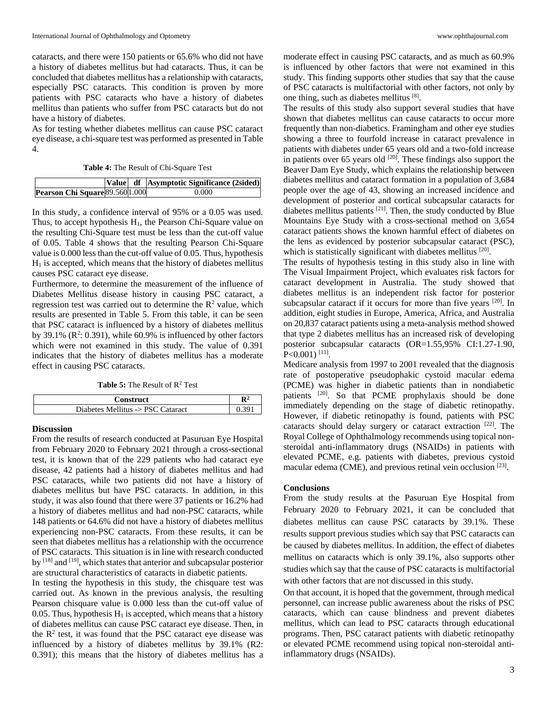cataracts, and there were 150 patients or 65.6% who did not have a history of diabetes mellitus but had cataracts. Thus, it can be concluded that diabetes mellitus has a relationship with cataracts, especially PSC cataracts. This condition is proven by more patients with PSC cataracts who have a history of diabetes mellitus than patients who suffer from PSC cataracts but do not have a history of diabetes.

As for testing whether diabetes mellitus can cause PSC cataract eye disease, a chi-square test was performed as presented in Table 4.

| Table 4: The Result of Chi-Square Test |  |  |  |
|----------------------------------------|--|--|--|
|----------------------------------------|--|--|--|

|                                 |  | Value df Asymptotic Significance (2sided) |
|---------------------------------|--|-------------------------------------------|
| Pearson Chi Square 89.560 1.000 |  | 0.000                                     |

In this study, a confidence interval of 95% or a 0.05 was used. Thus, to accept hypothesis  $H_1$ , the Pearson Chi-Square value on the resulting Chi-Square test must be less than the cut-off value of 0.05. Table 4 shows that the resulting Pearson Chi-Square value is 0.000 less than the cut-off value of 0.05. Thus, hypothesis  $H<sub>1</sub>$  is accepted, which means that the history of diabetes mellitus causes PSC cataract eye disease.

Furthermore, to determine the measurement of the influence of Diabetes Mellitus disease history in causing PSC cataract, a regression test was carried out to determine the  $\mathbb{R}^2$  value, which results are presented in Table 5. From this table, it can be seen that PSC cataract is influenced by a history of diabetes mellitus by 39.1%  $(R^2: 0.391)$ , while 60.9% is influenced by other factors which were not examined in this study. The value of 0.391 indicates that the history of diabetes mellitus has a moderate effect in causing PSC cataracts.

**Table 5:** The Result of R<sup>2</sup> Test

| Construct                         |  |
|-----------------------------------|--|
| Diabetes Mellitus -> PSC Cataract |  |

### **Discussion**

From the results of research conducted at Pasuruan Eye Hospital from February 2020 to February 2021 through a cross-sectional test, it is known that of the 229 patients who had cataract eye disease, 42 patients had a history of diabetes mellitus and had PSC cataracts, while two patients did not have a history of diabetes mellitus but have PSC cataracts. In addition, in this study, it was also found that there were 37 patients or 16.2% had a history of diabetes mellitus and had non-PSC cataracts, while 148 patients or 64.6% did not have a history of diabetes mellitus experiencing non-PSC cataracts. From these results, it can be seen that diabetes mellitus has a relationship with the occurrence of PSC cataracts. This situation is in line with research conducted by  $^{[18]}$  and  $^{[19]}$ , which states that anterior and subcapsular posterior are structural characteristics of cataracts in diabetic patients.

In testing the hypothesis in this study, the chisquare test was carried out. As known in the previous analysis, the resulting Pearson chisquare value is 0.000 less than the cut-off value of 0.05. Thus, hypothesis  $H_1$  is accepted, which means that a history of diabetes mellitus can cause PSC cataract eye disease. Then, in the  $R<sup>2</sup>$  test, it was found that the PSC cataract eye disease was influenced by a history of diabetes mellitus by 39.1% (R2: 0.391); this means that the history of diabetes mellitus has a

moderate effect in causing PSC cataracts, and as much as 60.9% is influenced by other factors that were not examined in this study. This finding supports other studies that say that the cause of PSC cataracts is multifactorial with other factors, not only by one thing, such as diabetes mellitus [8].

The results of this study also support several studies that have shown that diabetes mellitus can cause cataracts to occur more frequently than non-diabetics. Framingham and other eye studies showing a three to fourfold increase in cataract prevalence in patients with diabetes under 65 years old and a two-fold increase in patients over 65 years old  $[20]$ . These findings also support the Beaver Dam Eye Study, which explains the relationship between diabetes mellitus and cataract formation in a population of 3,684 people over the age of 43, showing an increased incidence and development of posterior and cortical subcapsular cataracts for diabetes mellitus patients <sup>[21]</sup>. Then, the study conducted by Blue Mountains Eye Study with a cross-sectional method on 3,654 cataract patients shows the known harmful effect of diabetes on the lens as evidenced by posterior subcapsular cataract (PSC), which is statistically significant with diabetes mellitus [20].

The results of hypothesis testing in this study also in line with The Visual Impairment Project, which evaluates risk factors for cataract development in Australia. The study showed that diabetes mellitus is an independent risk factor for posterior subcapsular cataract if it occurs for more than five years [20]. In addition, eight studies in Europe, America, Africa, and Australia on 20,837 cataract patients using a meta-analysis method showed that type 2 diabetes mellitus has an increased risk of developing posterior subcapsular cataracts (OR=1.55,95% CI:1.27-1.90, P<0.001)<sup>[11]</sup>.

Medicare analysis from 1997 to 2001 revealed that the diagnosis rate of postoperative pseudophakic cystoid macular edema (PCME) was higher in diabetic patients than in nondiabetic patients <sup>[20]</sup>. So that PCME prophylaxis should be done immediately depending on the stage of diabetic retinopathy. However, if diabetic retinopathy is found, patients with PSC cataracts should delay surgery or cataract extraction [22]. The Royal College of Ophthalmology recommends using topical nonsteroidal anti-inflammatory drugs (NSAIDs) in patients with elevated PCME, e.g. patients with diabetes, previous cystoid macular edema (CME), and previous retinal vein occlusion  $[23]$ .

#### **Conclusions**

From the study results at the Pasuruan Eye Hospital from February 2020 to February 2021, it can be concluded that diabetes mellitus can cause PSC cataracts by 39.1%. These results support previous studies which say that PSC cataracts can be caused by diabetes mellitus. In addition, the effect of diabetes mellitus on cataracts which is only 39.1%, also supports other studies which say that the cause of PSC cataracts is multifactorial with other factors that are not discussed in this study.

On that account, it is hoped that the government, through medical personnel, can increase public awareness about the risks of PSC cataracts, which can cause blindness and prevent diabetes mellitus, which can lead to PSC cataracts through educational programs. Then, PSC cataract patients with diabetic retinopathy or elevated PCME recommend using topical non-steroidal antiinflammatory drugs (NSAIDs).